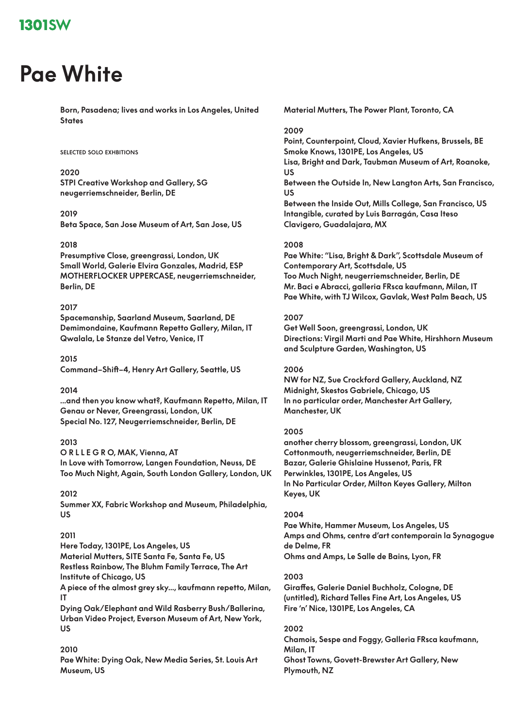# **Pae White**

**Born, Pasadena; lives and works in Los Angeles, United States**

#### **selected solo exhbitions**

### **2020**

**STPI Creative Workshop and Gallery, SG neugerriemschneider, Berlin, DE**

### **2019**

**Beta Space, San Jose Museum of Art, San Jose, US**

### **2018**

**Presumptive Close, greengrassi, London, UK Small World, Galerie Elvira Gonzales, Madrid, ESP MOTHERFLOCKER UPPERCASE, neugerriemschneider, Berlin, DE**

### **2017**

**Spacemanship, Saarland Museum, Saarland, DE Demimondaine, Kaufmann Repetto Gallery, Milan, IT Qwalala, Le Stanze del Vetro, Venice, IT**

**2015 Command–Shift–4, Henry Art Gallery, Seattle, US**

#### **2014**

**...and then you know what?, Kaufmann Repetto, Milan, IT Genau or Never, Greengrassi, London, UK Special No. 127, Neugerriemschneider, Berlin, DE**

### **2013**

**O R L L E G R O, MAK, Vienna, AT**

**In Love with Tomorrow, Langen Foundation, Neuss, DE Too Much Night, Again, South London Gallery, London, UK**

### **2012**

**Summer XX, Fabric Workshop and Museum, Philadelphia, US**

### **2011**

**Here Today, 1301PE, Los Angeles, US**

**Material Mutters, SITE Santa Fe, Santa Fe, US**

- **Restless Rainbow, The Bluhm Family Terrace, The Art**
- **Institute of Chicago, US**

**A piece of the almost grey sky..., kaufmann repetto, Milan, IT**

**Dying Oak/Elephant and Wild Rasberry Bush/Ballerina, Urban Video Project, Everson Museum of Art, New York, US**

### **2010**

**Pae White: Dying Oak, New Media Series, St. Louis Art Museum, US**

**Material Mutters, The Power Plant, Toronto, CA**

#### **2009**

**Point, Counterpoint, Cloud, Xavier Hufkens, Brussels, BE Smoke Knows, 1301PE, Los Angeles, US Lisa, Bright and Dark, Taubman Museum of Art, Roanoke, US Between the Outside In, New Langton Arts, San Francisco, US Between the Inside Out, Mills College, San Francisco, US Intangible, curated by Luis Barragán, Casa Iteso Clavigero, Guadalajara, MX**

### **2008**

**Pae White: "Lisa, Bright & Dark", Scottsdale Museum of Contemporary Art, Scottsdale, US Too Much Night, neugerriemschneider, Berlin, DE Mr. Baci e Abracci, galleria FRsca kaufmann, Milan, IT Pae White, with TJ Wilcox, Gavlak, West Palm Beach, US**

### **2007**

**Get Well Soon, greengrassi, London, UK Directions: Virgil Marti and Pae White, Hirshhorn Museum and Sculpture Garden, Washington, US**

#### **2006**

**NW for NZ, Sue Crockford Gallery, Auckland, NZ Midnight, Skestos Gabriele, Chicago, US In no particular order, Manchester Art Gallery, Manchester, UK**

### **2005**

**another cherry blossom, greengrassi, London, UK Cottonmouth, neugerriemschneider, Berlin, DE Bazar, Galerie Ghislaine Hussenot, Paris, FR Perwinkles, 1301PE, Los Angeles, US In No Particular Order, Milton Keyes Gallery, Milton Keyes, UK**

### **2004**

**Pae White, Hammer Museum, Los Angeles, US Amps and Ohms, centre d'art contemporain la Synagogue de Delme, FR Ohms and Amps, Le Salle de Bains, Lyon, FR**

### **2003**

**Giraffes, Galerie Daniel Buchholz, Cologne, DE (untitled), Richard Telles Fine Art, Los Angeles, US Fire 'n' Nice, 1301PE, Los Angeles, CA**

#### **2002**

**Chamois, Sespe and Foggy, Galleria FRsca kaufmann, Milan, IT Ghost Towns, Govett-Brewster Art Gallery, New Plymouth, NZ**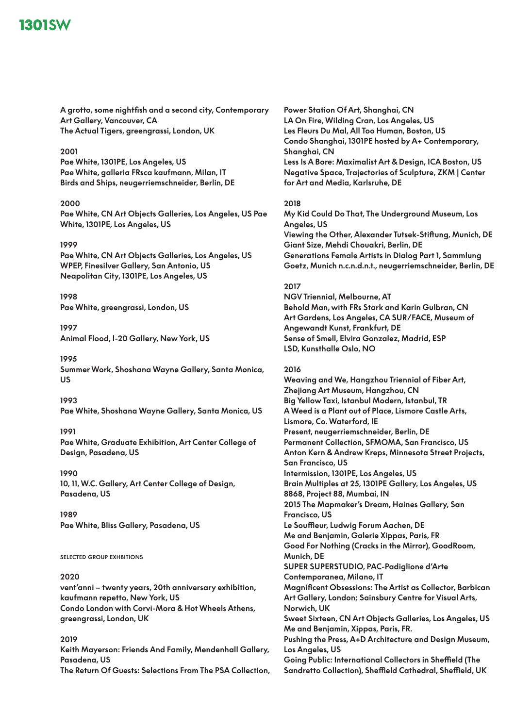**A grotto, some nightfish and a second city, Contemporary Art Gallery, Vancouver, CA The Actual Tigers, greengrassi, London, UK**

### **2001**

**Pae White, 1301PE, Los Angeles, US Pae White, galleria FRsca kaufmann, Milan, IT Birds and Ships, neugerriemschneider, Berlin, DE**

### **2000**

**Pae White, CN Art Objects Galleries, Los Angeles, US Pae White, 1301PE, Los Angeles, US**

### **1999**

**Pae White, CN Art Objects Galleries, Los Angeles, US WPEP, Finesilver Gallery, San Antonio, US Neapolitan City, 1301PE, Los Angeles, US**

**1998 Pae White, greengrassi, London, US**

**1997 Animal Flood, I-20 Gallery, New York, US**

**1995 Summer Work, Shoshana Wayne Gallery, Santa Monica, US**

**1993 Pae White, Shoshana Wayne Gallery, Santa Monica, US**

### **1991**

**Pae White, Graduate Exhibition, Art Center College of Design, Pasadena, US**

### **1990**

**10, 11, W.C. Gallery, Art Center College of Design, Pasadena, US**

**1989 Pae White, Bliss Gallery, Pasadena, US**

### **selected group exhbitions**

### **2020**

**vent'anni – twenty years, 20th anniversary exhibition, kaufmann repetto, New York, US Condo London with Corvi-Mora & Hot Wheels Athens, greengrassi, London, UK**

### **2019**

**Keith Mayerson: Friends And Family, Mendenhall Gallery, Pasadena, US The Return Of Guests: Selections From The PSA Collection,**  **Power Station Of Art, Shanghai, CN LA On Fire, Wilding Cran, Los Angeles, US Les Fleurs Du Mal, All Too Human, Boston, US Condo Shanghai, 1301PE hosted by A+ Contemporary, Shanghai, CN Less Is A Bore: Maximalist Art & Design, ICA Boston, US Negative Space, Trajectories of Sculpture, ZKM | Center for Art and Media, Karlsruhe, DE**

### **2018**

**My Kid Could Do That, The Underground Museum, Los Angeles, US Viewing the Other, Alexander Tutsek-Stiftung, Munich, DE Giant Size, Mehdi Chouakri, Berlin, DE Generations Female Artists in Dialog Part 1, Sammlung Goetz, Munich n.c.n.d.n.t., neugerriemschneider, Berlin, DE**

### **2017**

**NGV Triennial, Melbourne, AT Behold Man, with FRs Stark and Karin Gulbran, CN Art Gardens, Los Angeles, CA SUR/FACE, Museum of Angewandt Kunst, Frankfurt, DE Sense of Smell, Elvira Gonzalez, Madrid, ESP LSD, Kunsthalle Oslo, NO**

### **2016**

**Weaving and We, Hangzhou Triennial of Fiber Art, Zhejiang Art Museum, Hangzhou, CN Big Yellow Taxi, Istanbul Modern, Istanbul, TR A Weed is a Plant out of Place, Lismore Castle Arts, Lismore, Co. Waterford, IE Present, neugerriemschneider, Berlin, DE Permanent Collection, SFMOMA, San Francisco, US Anton Kern & Andrew Kreps, Minnesota Street Projects, San Francisco, US Intermission, 1301PE, Los Angeles, US Brain Multiples at 25, 1301PE Gallery, Los Angeles, US 8868, Project 88, Mumbai, IN 2015 The Mapmaker's Dream, Haines Gallery, San Francisco, US Le Souffleur, Ludwig Forum Aachen, DE Me and Benjamin, Galerie Xippas, Paris, FR Good For Nothing (Cracks in the Mirror), GoodRoom, Munich, DE SUPER SUPERSTUDIO, PAC-Padiglione d'Arte Contemporanea, Milano, IT Magnificent Obsessions: The Artist as Collector, Barbican Art Gallery, London; Sainsbury Centre for Visual Arts, Norwich, UK Sweet Sixteen, CN Art Objects Galleries, Los Angeles, US Me and Benjamin, Xippas, Paris, FR. Pushing the Press, A+D Architecture and Design Museum, Los Angeles, US Going Public: International Collectors in Sheffield (The Sandretto Collection), Sheffield Cathedral, Sheffield, UK**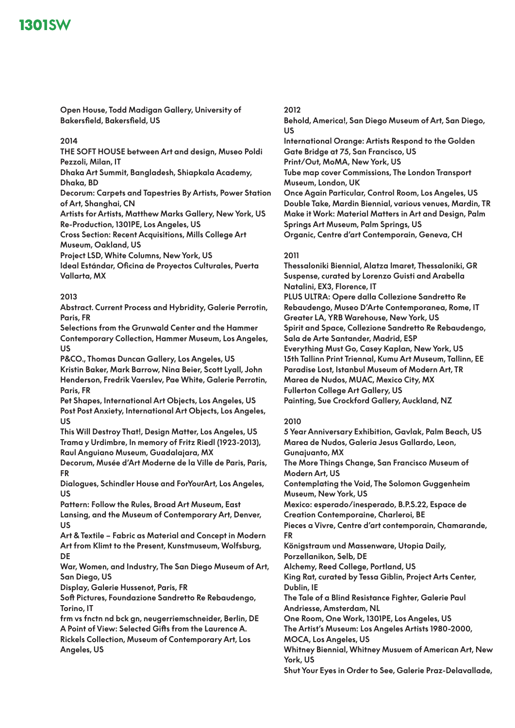**Open House, Todd Madigan Gallery, University of Bakersfield, Bakersfield, US**

### **2014**

**THE SOFT HOUSE between Art and design, Museo Poldi Pezzoli, Milan, IT**

**Dhaka Art Summit, Bangladesh, Shiapkala Academy, Dhaka, BD**

**Decorum: Carpets and Tapestries By Artists, Power Station of Art, Shanghai, CN**

**Artists for Artists, Matthew Marks Gallery, New York, US Re-Production, 1301PE, Los Angeles, US**

**Cross Section: Recent Acquisitions, Mills College Art Museum, Oakland, US**

**Project LSD, White Columns, New York, US**

**Ideal Estándar, Oficina de Proyectos Culturales, Puerta Vallarta, MX**

### **2013**

**Abstract. Current Process and Hybridity, Galerie Perrotin, Paris, FR**

**Selections from the Grunwald Center and the Hammer Contemporary Collection, Hammer Museum, Los Angeles, US**

**P&CO., Thomas Duncan Gallery, Los Angeles, US Kristin Baker, Mark Barrow, Nina Beier, Scott Lyall, John Henderson, Fredrik Vaerslev, Pae White, Galerie Perrotin, Paris, FR**

**Pet Shapes, International Art Objects, Los Angeles, US Post Post Anxiety, International Art Objects, Los Angeles, US**

**This Will Destroy That!, Design Matter, Los Angeles, US Trama y Urdimbre, In memory of Fritz Riedl (1923-2013), Raul Anguiano Museum, Guadalajara, MX**

**Decorum, Musée d'Art Moderne de la Ville de Paris, Paris, FR**

**Dialogues, Schindler House and ForYourArt, Los Angeles, US**

**Pattern: Follow the Rules, Broad Art Museum, East Lansing, and the Museum of Contemporary Art, Denver,** 

**US**

**Art & Textile – Fabric as Material and Concept in Modern Art from Klimt to the Present, Kunstmuseum, Wolfsburg, DE**

**War, Women, and Industry, The San Diego Museum of Art, San Diego, US**

**Display, Galerie Hussenot, Paris, FR**

**Soft Pictures, Foundazione Sandretto Re Rebaudengo, Torino, IT**

**frm vs fnctn nd bck gn, neugerriemschneider, Berlin, DE A Point of View: Selected Gifts from the Laurence A. Rickels Collection, Museum of Contemporary Art, Los Angeles, US**

### **2012**

**Behold, America!, San Diego Museum of Art, San Diego, US**

**International Orange: Artists Respond to the Golden Gate Bridge at 75, San Francisco, US Print/Out, MoMA, New York, US Tube map cover Commissions, The London Transport Museum, London, UK Once Again Particular, Control Room, Los Angeles, US Double Take, Mardin Biennial, various venues, Mardin, TR**

**Make it Work: Material Matters in Art and Design, Palm Springs Art Museum, Palm Springs, US Organic, Centre d'art Contemporain, Geneva, CH**

### **2011**

**Thessaloniki Biennial, Alatza Imaret, Thessaloniki, GR Suspense, curated by Lorenzo Guisti and Arabella Natalini, EX3, Florence, IT PLUS ULTRA: Opere dalla Collezione Sandretto Re Rebaudengo, Museo D'Arte Contemporanea, Rome, IT Greater LA, YRB Warehouse, New York, US Spirit and Space, Collezione Sandretto Re Rebaudengo, Sala de Arte Santander, Madrid, ESP Everything Must Go, Casey Kaplan, New York, US 15th Tallinn Print Triennal, Kumu Art Museum, Tallinn, EE Paradise Lost, Istanbul Museum of Modern Art, TR Marea de Nudos, MUAC, Mexico City, MX Fullerton College Art Gallery, US Painting, Sue Crockford Gallery, Auckland, NZ**

## **2010**

**5 Year Anniversary Exhibition, Gavlak, Palm Beach, US Marea de Nudos, Galeria Jesus Gallardo, Leon, Gunajuanto, MX The More Things Change, San Francisco Museum of Modern Art, US Contemplating the Void, The Solomon Guggenheim Museum, New York, US Mexico: esperado/inesperado, B.P.S.22, Espace de Creation Contemporaine, Charleroi, BE Pieces a Vivre, Centre d'art contemporain, Chamarande, FR Königstraum und Massenware, Utopia Daily, Porzellanikon, Selb, DE Alchemy, Reed College, Portland, US King Rat, curated by Tessa Giblin, Project Arts Center, Dublin, IE The Tale of a Blind Resistance Fighter, Galerie Paul Andriesse, Amsterdam, NL One Room, One Work, 1301PE, Los Angeles, US The Artist's Museum: Los Angeles Artists 1980-2000, MOCA, Los Angeles, US Whitney Biennial, Whitney Musuem of American Art, New York, US Shut Your Eyes in Order to See, Galerie Praz-Delavallade,**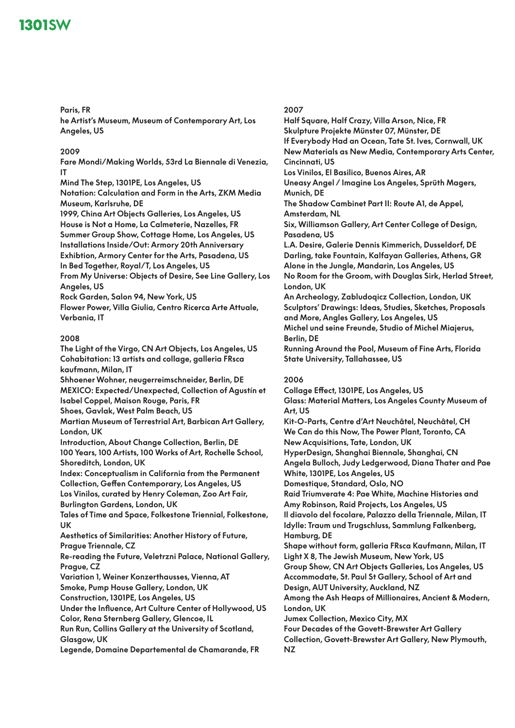**Paris, FR he Artist's Museum, Museum of Contemporary Art, Los Angeles, US**

## **2009**

**Fare Mondi/Making Worlds, 53rd La Biennale di Venezia, IT**

**Mind The Step, 1301PE, Los Angeles, US**

**Notation: Calculation and Form in the Arts, ZKM Media Museum, Karlsruhe, DE**

**1999, China Art Objects Galleries, Los Angeles, US**

**House is Not a Home, La Calmeterie, Nazelles, FR Summer Group Show, Cottage Home, Los Angeles, US**

**Installations Inside/Out: Armory 20th Anniversary** 

**Exhibtion, Armory Center for the Arts, Pasadena, US**

**In Bed Together, Royal/T, Los Angeles, US**

**From My Universe: Objects of Desire, See Line Gallery, Los Angeles, US**

**Rock Garden, Salon 94, New York, US**

**Flower Power, Villa Giulia, Centro Ricerca Arte Attuale, Verbania, IT**

### **2008**

**The Light of the Virgo, CN Art Objects, Los Angeles, US Cohabitation: 13 artists and collage, galleria FRsca kaufmann, Milan, IT Shhoener Wohner, neugerreimschneider, Berlin, DE MEXICO: Expected/Unexpected, Collection of Agustín et Isabel Coppel, Maison Rouge, Paris, FR Shoes, Gavlak, West Palm Beach, US Martian Museum of Terrestrial Art, Barbican Art Gallery, London, UK Introduction, About Change Collection, Berlin, DE 100 Years, 100 Artists, 100 Works of Art, Rochelle School, Shoreditch, London, UK Index: Conceptualism in California from the Permanent Collection, Geffen Contemporary, Los Angeles, US Los Vinilos, curated by Henry Coleman, Zoo Art Fair, Burlington Gardens, London, UK Tales of Time and Space, Folkestone Triennial, Folkestone, UK Aesthetics of Similarities: Another History of Future, Prague Triennale, CZ Re-reading the Future, Veletrzni Palace, National Gallery, Prague, CZ Variation 1, Weiner Konzerthausses, Vienna, AT Smoke, Pump House Gallery, London, UK Construction, 1301PE, Los Angeles, US**

**Under the Influence, Art Culture Center of Hollywood, US Color, Rena Sternberg Gallery, Glencoe, IL**

**Run Run, Collins Gallery at the University of Scotland, Glasgow, UK**

**Legende, Domaine Departemental de Chamarande, FR**

### **2007**

**Half Square, Half Crazy, Villa Arson, Nice, FR Skulpture Projekte Münster 07, Münster, DE If Everybody Had an Ocean, Tate St. Ives, Cornwall, UK New Materials as New Media, Contemporary Arts Center, Cincinnati, US Los Vinilos, El Basilico, Buenos Aires, AR Uneasy Angel / Imagine Los Angeles, Sprüth Magers, Munich, DE The Shadow Cambinet Part II: Route A1, de Appel, Amsterdam, NL Six, Williamson Gallery, Art Center College of Design, Pasadena, US L.A. Desire, Galerie Dennis Kimmerich, Dusseldorf, DE Darling, take Fountain, Kalfayan Galleries, Athens, GR Alone in the Jungle, Mandarin, Los Angeles, US No Room for the Groom, with Douglas Sirk, Herlad Street, London, UK An Archeology, Zabludoqicz Collection, London, UK Sculptors' Drawings: Ideas, Studies, Sketches, Proposals and More, Angles Gallery, Los Angeles, US Michel und seine Freunde, Studio of Michel Miajerus, Berlin, DE Running Around the Pool, Museum of Fine Arts, Florida State University, Tallahassee, US**

## **2006**

**Collage Effect, 1301PE, Los Angeles, US Glass: Material Matters, Los Angeles County Museum of Art, US Kit-O-Parts, Centre d'Art Neuchâtel, Neuchâtel, CH We Can do this Now, The Power Plant, Toronto, CA New Acquisitions, Tate, London, UK HyperDesign, Shanghai Biennale, Shanghai, CN Angela Bulloch, Judy Ledgerwood, Diana Thater and Pae White, 1301PE, Los Angeles, US Domestique, Standard, Oslo, NO Raid Triumverate 4: Pae White, Machine Histories and Amy Robinson, Raid Projects, Los Angeles, US Il diavolo del focolare, Palazzo della Triennale, Milan, IT Idylle: Traum und Trugschluss, Sammlung Falkenberg, Hamburg, DE Shape without form, galleria FRsca Kaufmann, Milan, IT Light X 8, The Jewish Museum, New York, US Group Show, CN Art Objects Galleries, Los Angeles, US Accommodate, St. Paul St Gallery, School of Art and Design, AUT University, Auckland, NZ Among the Ash Heaps of Millionaires, Ancient & Modern, London, UK Jumex Collection, Mexico City, MX Four Decades of the Govett-Brewster Art Gallery Collection, Govett-Brewster Art Gallery, New Plymouth, NZ**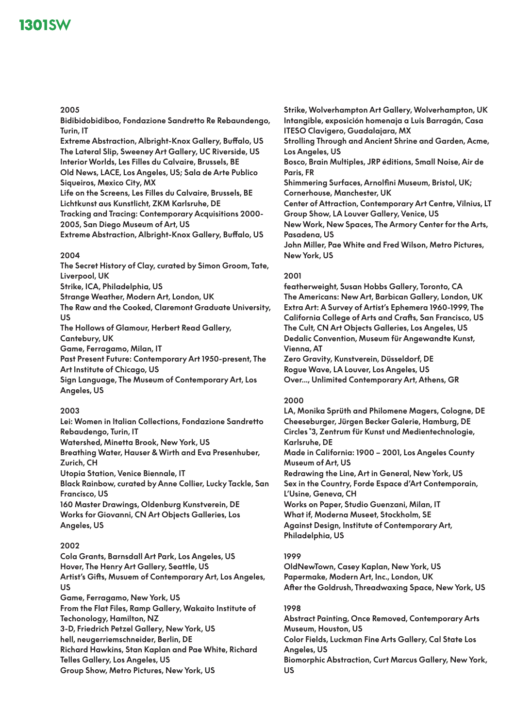### **2005**

**Bidibidobidiboo, Fondazione Sandretto Re Rebaundengo, Turin, IT**

**Extreme Abstraction, Albright-Knox Gallery, Buffalo, US The Lateral Slip, Sweeney Art Gallery, UC Riverside, US Interior Worlds, Les Filles du Calvaire, Brussels, BE Old News, LACE, Los Angeles, US; Sala de Arte Publico Siqueiros, Mexico City, MX**

**Life on the Screens, Les Filles du Calvaire, Brussels, BE Lichtkunst aus Kunstlicht, ZKM Karlsruhe, DE Tracking and Tracing: Contemporary Acquisitions 2000- 2005, San Diego Museum of Art, US**

**Extreme Abstraction, Albright-Knox Gallery, Buffalo, US**

### **2004**

**The Secret History of Clay, curated by Simon Groom, Tate, Liverpool, UK Strike, ICA, Philadelphia, US Strange Weather, Modern Art, London, UK**

**The Raw and the Cooked, Claremont Graduate University, US**

**The Hollows of Glamour, Herbert Read Gallery, Cantebury, UK**

**Game, Ferragamo, Milan, IT**

**Past Present Future: Contemporary Art 1950-present, The Art Institute of Chicago, US**

**Sign Language, The Museum of Contemporary Art, Los Angeles, US**

## **2003**

**Lei: Women in Italian Collections, Fondazione Sandretto Rebaudengo, Turin, IT Watershed, Minetta Brook, New York, US Breathing Water, Hauser & Wirth and Eva Presenhuber, Zurich, CH Utopia Station, Venice Biennale, IT Black Rainbow, curated by Anne Collier, Lucky Tackle, San Francisco, US 160 Master Drawings, Oldenburg Kunstverein, DE Works for Giovanni, CN Art Objects Galleries, Los Angeles, US**

## **2002**

**Cola Grants, Barnsdall Art Park, Los Angeles, US Hover, The Henry Art Gallery, Seattle, US Artist's Gifts, Musuem of Contemporary Art, Los Angeles, US Game, Ferragamo, New York, US From the Flat Files, Ramp Gallery, Wakaito Institute of Techonology, Hamilton, NZ 3-D, Friedrich Petzel Gallery, New York, US hell, neugerriemschneider, Berlin, DE Richard Hawkins, Stan Kaplan and Pae White, Richard Telles Gallery, Los Angeles, US**

**Group Show, Metro Pictures, New York, US**

**Strike, Wolverhampton Art Gallery, Wolverhampton, UK Intangible, exposición homenaja a Luis Barragán, Casa ITESO Clavigero, Guadalajara, MX Strolling Through and Ancient Shrine and Garden, Acme, Los Angeles, US Bosco, Brain Multiples, JRP éditions, Small Noise, Air de Paris, FR Shimmering Surfaces, Arnolfini Museum, Bristol, UK; Cornerhouse, Manchester, UK Center of Attraction, Contemporary Art Centre, Vilnius, LT Group Show, LA Louver Gallery, Venice, US New Work, New Spaces, The Armory Center for the Arts, Pasadena, US John Miller, Pae White and Fred Wilson, Metro Pictures, New York, US**

## **2001**

**featherweight, Susan Hobbs Gallery, Toronto, CA The Americans: New Art, Barbican Gallery, London, UK Extra Art: A Survey of Artist's Ephemera 1960-1999, The California College of Arts and Crafts, San Francisco, US The Cult, CN Art Objects Galleries, Los Angeles, US Dedalic Convention, Museum für Angewandte Kunst, Vienna, AT**

**Zero Gravity, Kunstverein, Düsseldorf, DE Rogue Wave, LA Louver, Los Angeles, US Over..., Unlimited Contemporary Art, Athens, GR**

## **2000**

**LA, Monika Sprüth and Philomene Magers, Cologne, DE Cheeseburger, Jürgen Becker Galerie, Hamburg, DE Circles ̊3, Zentrum für Kunst und Medientechnologie, Karlsruhe, DE Made in California: 1900 – 2001, Los Angeles County Museum of Art, US Redrawing the Line, Art in General, New York, US Sex in the Country, Forde Espace d'Art Contemporain, L'Usine, Geneva, CH Works on Paper, Studio Guenzani, Milan, IT What if, Moderna Museet, Stockholm, SE Against Design, Institute of Contemporary Art, Philadelphia, US**

### **1999**

**OldNewTown, Casey Kaplan, New York, US Papermake, Modern Art, Inc., London, UK After the Goldrush, Threadwaxing Space, New York, US**

### **1998**

**Abstract Painting, Once Removed, Contemporary Arts Museum, Houston, US Color Fields, Luckman Fine Arts Gallery, Cal State Los Angeles, US Biomorphic Abstraction, Curt Marcus Gallery, New York, US**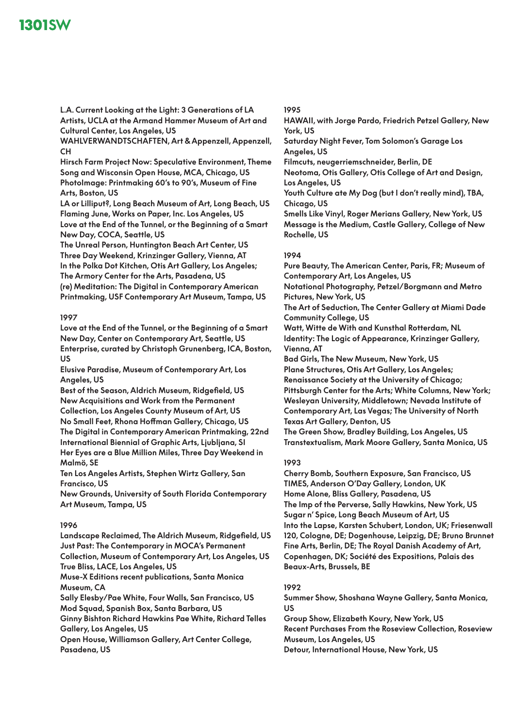**L.A. Current Looking at the Light: 3 Generations of LA Artists, UCLA at the Armand Hammer Museum of Art and Cultural Center, Los Angeles, US**

**WAHLVERWANDTSCHAFTEN, Art & Appenzell, Appenzell, CH**

**Hirsch Farm Project Now: Speculative Environment, Theme Song and Wisconsin Open House, MCA, Chicago, US PhotoImage: Printmaking 60's to 90's, Museum of Fine Arts, Boston, US**

**LA or Lilliput?, Long Beach Museum of Art, Long Beach, US Flaming June, Works on Paper, Inc. Los Angeles, US Love at the End of the Tunnel, or the Beginning of a Smart New Day, COCA, Seattle, US**

**The Unreal Person, Huntington Beach Art Center, US Three Day Weekend, Krinzinger Gallery, Vienna, AT In the Polka Dot Kitchen, Otis Art Gallery, Los Angeles; The Armory Center for the Arts, Pasadena, US (re) Meditation: The Digital in Contemporary American Printmaking, USF Contemporary Art Museum, Tampa, US**

### **1997**

**Love at the End of the Tunnel, or the Beginning of a Smart New Day, Center on Contemporary Art, Seattle, US Enterprise, curated by Christoph Grunenberg, ICA, Boston, US**

**Elusive Paradise, Museum of Contemporary Art, Los Angeles, US**

**Best of the Season, Aldrich Museum, Ridgefield, US New Acquisitions and Work from the Permanent Collection, Los Angeles County Museum of Art, US No Small Feet, Rhona Hoffman Gallery, Chicago, US The Digital in Contemporary American Printmaking, 22nd International Biennial of Graphic Arts, Ljubljana, SI Her Eyes are a Blue Million Miles, Three Day Weekend in Malmö, SE**

**Ten Los Angeles Artists, Stephen Wirtz Gallery, San Francisco, US**

**New Grounds, University of South Florida Contemporary Art Museum, Tampa, US**

#### **1996**

**Landscape Reclaimed, The Aldrich Museum, Ridgefield, US Just Past: The Contemporary in MOCA's Permanent Collection, Museum of Contemporary Art, Los Angeles, US**

**True Bliss, LACE, Los Angeles, US**

**Muse-X Editions recent publications, Santa Monica Museum, CA**

**Sally Elesby/Pae White, Four Walls, San Francisco, US Mod Squad, Spanish Box, Santa Barbara, US**

**Ginny Bishton Richard Hawkins Pae White, Richard Telles Gallery, Los Angeles, US**

**Open House, Williamson Gallery, Art Center College, Pasadena, US**

### **1995**

**HAWAII, with Jorge Pardo, Friedrich Petzel Gallery, New York, US Saturday Night Fever, Tom Solomon's Garage Los Angeles, US Filmcuts, neugerriemschneider, Berlin, DE Neotoma, Otis Gallery, Otis College of Art and Design, Los Angeles, US Youth Culture ate My Dog (but I don't really mind), TBA, Chicago, US Smells Like Vinyl, Roger Merians Gallery, New York, US Message is the Medium, Castle Gallery, College of New Rochelle, US**

### **1994**

**Pure Beauty, The American Center, Paris, FR; Museum of Contemporary Art, Los Angeles, US**

**Notational Photography, Petzel/Borgmann and Metro Pictures, New York, US**

**The Art of Seduction, The Center Gallery at Miami Dade Community College, US**

**Watt, Witte de With and Kunsthal Rotterdam, NL Identity: The Logic of Appearance, Krinzinger Gallery, Vienna, AT**

**Bad Girls, The New Museum, New York, US Plane Structures, Otis Art Gallery, Los Angeles; Renaissance Society at the University of Chicago; Pittsburgh Center for the Arts; White Columns, New York; Wesleyan University, Middletown; Nevada Institute of Contemporary Art, Las Vegas; The University of North Texas Art Gallery, Denton, US**

**The Green Show, Bradley Building, Los Angeles, US Transtextualism, Mark Moore Gallery, Santa Monica, US**

### **1993**

**Cherry Bomb, Southern Exposure, San Francisco, US TIMES, Anderson O'Day Gallery, London, UK Home Alone, Bliss Gallery, Pasadena, US The Imp of the Perverse, Sally Hawkins, New York, US Sugar n' Spice, Long Beach Museum of Art, US Into the Lapse, Karsten Schubert, London, UK; Friesenwall 120, Cologne, DE; Dogenhouse, Leipzig, DE; Bruno Brunnet Fine Arts, Berlin, DE; The Royal Danish Academy of Art, Copenhagen, DK; Société des Expositions, Palais des Beaux-Arts, Brussels, BE**

### **1992**

**Summer Show, Shoshana Wayne Gallery, Santa Monica, US**

**Group Show, Elizabeth Koury, New York, US Recent Purchases From the Roseview Collection, Roseview Museum, Los Angeles, US**

**Detour, International House, New York, US**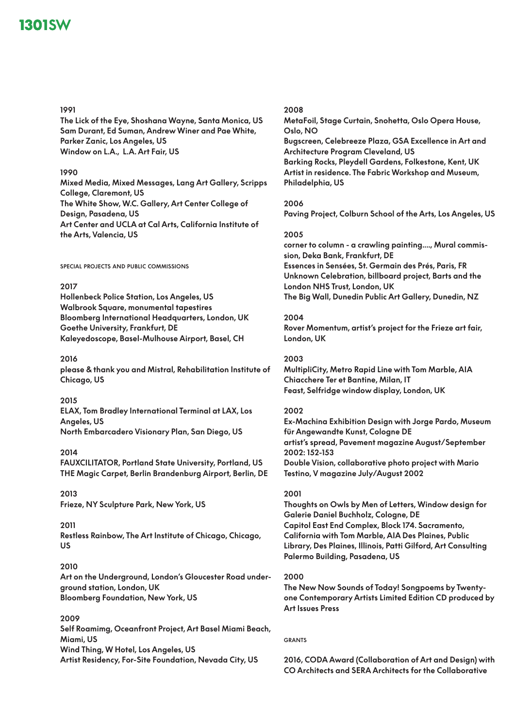### **1991**

**The Lick of the Eye, Shoshana Wayne, Santa Monica, US Sam Durant, Ed Suman, Andrew Winer and Pae White, Parker Zanic, Los Angeles, US Window on L.A., L.A. Art Fair, US**

### **1990**

**Mixed Media, Mixed Messages, Lang Art Gallery, Scripps College, Claremont, US The White Show, W.C. Gallery, Art Center College of Design, Pasadena, US Art Center and UCLA at Cal Arts, California Institute of the Arts, Valencia, US**

**special projects and public commissions**

## **2017**

**Hollenbeck Police Station, Los Angeles, US Walbrook Square, monumental tapestires Bloomberg International Headquarters, London, UK Goethe University, Frankfurt, DE Kaleyedoscope, Basel-Mulhouse Airport, Basel, CH**

### **2016**

**please & thank you and Mistral, Rehabilitation Institute of Chicago, US**

## **2015**

**ELAX, Tom Bradley International Terminal at LAX, Los Angeles, US North Embarcadero Visionary Plan, San Diego, US**

### **2014**

**FAUXCILITATOR, Portland State University, Portland, US THE Magic Carpet, Berlin Brandenburg Airport, Berlin, DE**

**2013 Frieze, NY Sculpture Park, New York, US**

### **2011**

**Restless Rainbow, The Art Institute of Chicago, Chicago, US**

## **2010**

**Art on the Underground, London's Gloucester Road underground station, London, UK Bloomberg Foundation, New York, US**

## **2009**

**Self Roamimg, Oceanfront Project, Art Basel Miami Beach, Miami, US Wind Thing, W Hotel, Los Angeles, US Artist Residency, For-Site Foundation, Nevada City, US**

## **2008**

**MetaFoil, Stage Curtain, Snohetta, Oslo Opera House, Oslo, NO**

**Bugscreen, Celebreeze Plaza, GSA Excellence in Art and Architecture Program Cleveland, US Barking Rocks, Pleydell Gardens, Folkestone, Kent, UK Artist in residence. The Fabric Workshop and Museum, Philadelphia, US**

### **2006**

**Paving Project, Colburn School of the Arts, Los Angeles, US**

### **2005**

**corner to column - a crawling painting...., Mural commission, Deka Bank, Frankfurt, DE Essences in Sensées, St. Germain des Prés, Paris, FR Unknown Celebration, billboard project, Barts and the London NHS Trust, London, UK The Big Wall, Dunedin Public Art Gallery, Dunedin, NZ**

# **2004**

**Rover Momentum, artist's project for the Frieze art fair, London, UK**

### **2003**

**MultipliCity, Metro Rapid Line with Tom Marble, AIA Chiacchere Ter et Bantine, Milan, IT Feast, Selfridge window display, London, UK**

## **2002**

**Ex-Machina Exhibition Design with Jorge Pardo, Museum für Angewandte Kunst, Cologne DE artist's spread, Pavement magazine August/September 2002: 152-153 Double Vision, collaborative photo project with Mario Testino, V magazine July/August 2002**

### **2001**

**Thoughts on Owls by Men of Letters, Window design for Galerie Daniel Buchholz, Cologne, DE Capitol East End Complex, Block 174. Sacramento, California with Tom Marble, AIA Des Plaines, Public Library, Des Plaines, Illinois, Patti Gilford, Art Consulting Palermo Building, Pasadena, US**

### **2000**

**The New Now Sounds of Today! Songpoems by Twentyone Contemporary Artists Limited Edition CD produced by Art Issues Press**

### **grants**

**2016, CODA Award (Collaboration of Art and Design) with CO Architects and SERA Architects for the Collaborative**